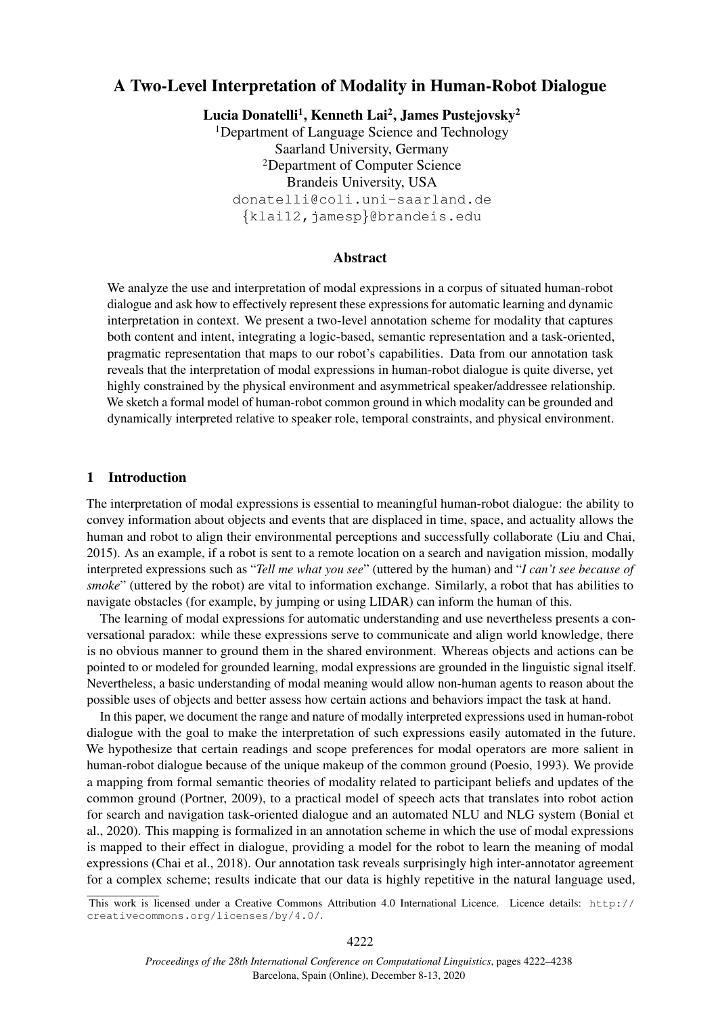# A Two-Level Interpretation of Modality in Human-Robot Dialogue

Lucia Donatelli<sup>1</sup>, Kenneth Lai<sup>2</sup>, James Pustejovsky<sup>2</sup> <sup>1</sup>Department of Language Science and Technology Saarland University, Germany <sup>2</sup>Department of Computer Science Brandeis University, USA donatelli@coli.uni-saarland.de {klai12,jamesp}@brandeis.edu

### Abstract

We analyze the use and interpretation of modal expressions in a corpus of situated human-robot dialogue and ask how to effectively represent these expressions for automatic learning and dynamic interpretation in context. We present a two-level annotation scheme for modality that captures both content and intent, integrating a logic-based, semantic representation and a task-oriented, pragmatic representation that maps to our robot's capabilities. Data from our annotation task reveals that the interpretation of modal expressions in human-robot dialogue is quite diverse, yet highly constrained by the physical environment and asymmetrical speaker/addressee relationship. We sketch a formal model of human-robot common ground in which modality can be grounded and dynamically interpreted relative to speaker role, temporal constraints, and physical environment.

#### 1 Introduction

The interpretation of modal expressions is essential to meaningful human-robot dialogue: the ability to convey information about objects and events that are displaced in time, space, and actuality allows the human and robot to align their environmental perceptions and successfully collaborate (Liu and Chai, 2015). As an example, if a robot is sent to a remote location on a search and navigation mission, modally interpreted expressions such as "*Tell me what you see*" (uttered by the human) and "*I can't see because of smoke*" (uttered by the robot) are vital to information exchange. Similarly, a robot that has abilities to navigate obstacles (for example, by jumping or using LIDAR) can inform the human of this.

The learning of modal expressions for automatic understanding and use nevertheless presents a conversational paradox: while these expressions serve to communicate and align world knowledge, there is no obvious manner to ground them in the shared environment. Whereas objects and actions can be pointed to or modeled for grounded learning, modal expressions are grounded in the linguistic signal itself. Nevertheless, a basic understanding of modal meaning would allow non-human agents to reason about the possible uses of objects and better assess how certain actions and behaviors impact the task at hand.

In this paper, we document the range and nature of modally interpreted expressions used in human-robot dialogue with the goal to make the interpretation of such expressions easily automated in the future. We hypothesize that certain readings and scope preferences for modal operators are more salient in human-robot dialogue because of the unique makeup of the common ground (Poesio, 1993). We provide a mapping from formal semantic theories of modality related to participant beliefs and updates of the common ground (Portner, 2009), to a practical model of speech acts that translates into robot action for search and navigation task-oriented dialogue and an automated NLU and NLG system (Bonial et al., 2020). This mapping is formalized in an annotation scheme in which the use of modal expressions is mapped to their effect in dialogue, providing a model for the robot to learn the meaning of modal expressions (Chai et al., 2018). Our annotation task reveals surprisingly high inter-annotator agreement for a complex scheme; results indicate that our data is highly repetitive in the natural language used,

This work is licensed under a Creative Commons Attribution 4.0 International Licence. Licence details: http:// creativecommons.org/licenses/by/4.0/.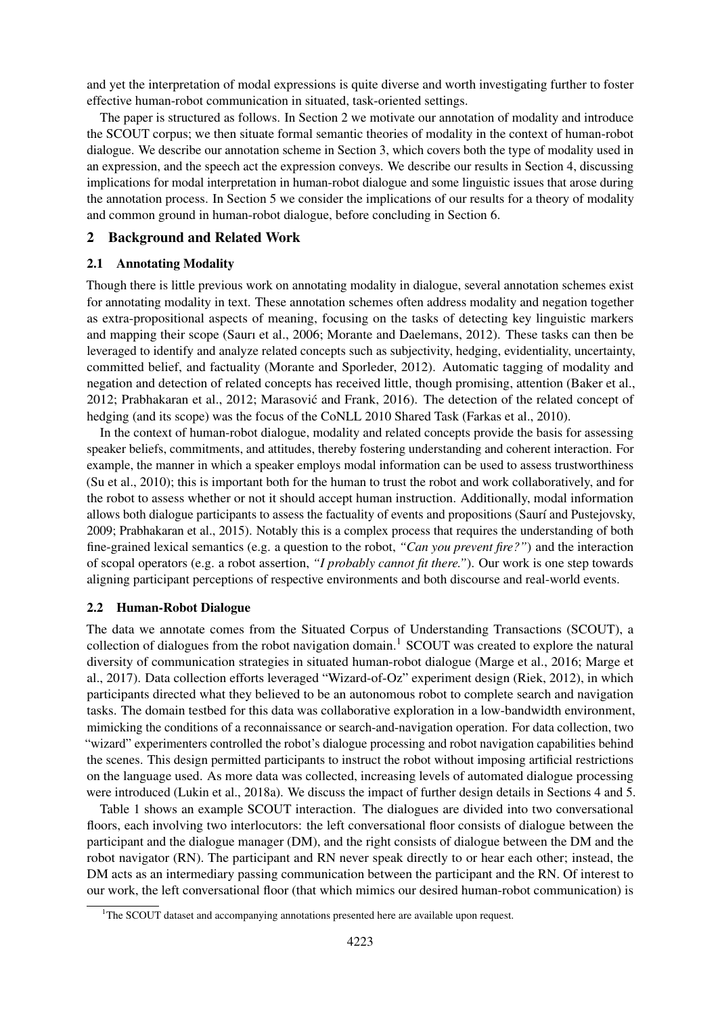and yet the interpretation of modal expressions is quite diverse and worth investigating further to foster effective human-robot communication in situated, task-oriented settings.

The paper is structured as follows. In Section 2 we motivate our annotation of modality and introduce the SCOUT corpus; we then situate formal semantic theories of modality in the context of human-robot dialogue. We describe our annotation scheme in Section 3, which covers both the type of modality used in an expression, and the speech act the expression conveys. We describe our results in Section 4, discussing implications for modal interpretation in human-robot dialogue and some linguistic issues that arose during the annotation process. In Section 5 we consider the implications of our results for a theory of modality and common ground in human-robot dialogue, before concluding in Section 6.

### 2 Background and Related Work

### 2.1 Annotating Modality

Though there is little previous work on annotating modality in dialogue, several annotation schemes exist for annotating modality in text. These annotation schemes often address modality and negation together as extra-propositional aspects of meaning, focusing on the tasks of detecting key linguistic markers and mapping their scope (Saurı et al., 2006; Morante and Daelemans, 2012). These tasks can then be leveraged to identify and analyze related concepts such as subjectivity, hedging, evidentiality, uncertainty, committed belief, and factuality (Morante and Sporleder, 2012). Automatic tagging of modality and negation and detection of related concepts has received little, though promising, attention (Baker et al., 2012; Prabhakaran et al., 2012; Marasovic and Frank, 2016). The detection of the related concept of ´ hedging (and its scope) was the focus of the CoNLL 2010 Shared Task (Farkas et al., 2010).

In the context of human-robot dialogue, modality and related concepts provide the basis for assessing speaker beliefs, commitments, and attitudes, thereby fostering understanding and coherent interaction. For example, the manner in which a speaker employs modal information can be used to assess trustworthiness (Su et al., 2010); this is important both for the human to trust the robot and work collaboratively, and for the robot to assess whether or not it should accept human instruction. Additionally, modal information allows both dialogue participants to assess the factuality of events and propositions (Saurí and Pustejovsky, 2009; Prabhakaran et al., 2015). Notably this is a complex process that requires the understanding of both fine-grained lexical semantics (e.g. a question to the robot, *"Can you prevent fire?"*) and the interaction of scopal operators (e.g. a robot assertion, *"I probably cannot fit there."*). Our work is one step towards aligning participant perceptions of respective environments and both discourse and real-world events.

### 2.2 Human-Robot Dialogue

The data we annotate comes from the Situated Corpus of Understanding Transactions (SCOUT), a collection of dialogues from the robot navigation domain.<sup>1</sup> SCOUT was created to explore the natural diversity of communication strategies in situated human-robot dialogue (Marge et al., 2016; Marge et al., 2017). Data collection efforts leveraged "Wizard-of-Oz" experiment design (Riek, 2012), in which participants directed what they believed to be an autonomous robot to complete search and navigation tasks. The domain testbed for this data was collaborative exploration in a low-bandwidth environment, mimicking the conditions of a reconnaissance or search-and-navigation operation. For data collection, two "wizard" experimenters controlled the robot's dialogue processing and robot navigation capabilities behind the scenes. This design permitted participants to instruct the robot without imposing artificial restrictions on the language used. As more data was collected, increasing levels of automated dialogue processing were introduced (Lukin et al., 2018a). We discuss the impact of further design details in Sections 4 and 5.

Table 1 shows an example SCOUT interaction. The dialogues are divided into two conversational floors, each involving two interlocutors: the left conversational floor consists of dialogue between the participant and the dialogue manager (DM), and the right consists of dialogue between the DM and the robot navigator (RN). The participant and RN never speak directly to or hear each other; instead, the DM acts as an intermediary passing communication between the participant and the RN. Of interest to our work, the left conversational floor (that which mimics our desired human-robot communication) is

<sup>&</sup>lt;sup>1</sup>The SCOUT dataset and accompanying annotations presented here are available upon request.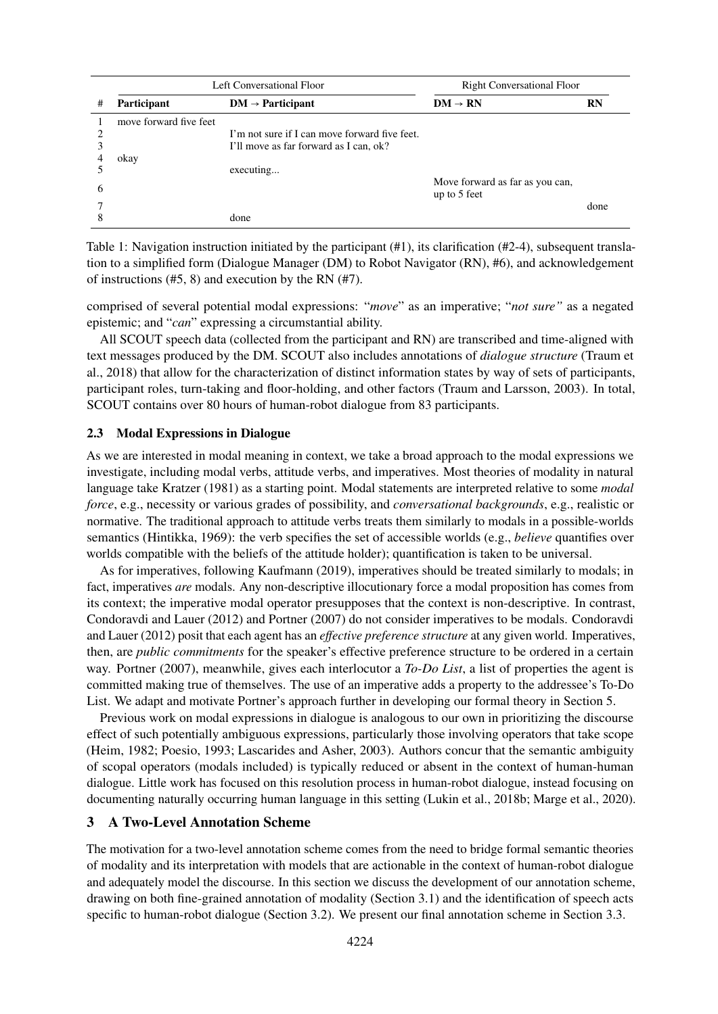|   | Left Conversational Floor |                                               | <b>Right Conversational Floor</b> |           |
|---|---------------------------|-----------------------------------------------|-----------------------------------|-----------|
| # | Participant               | $DM \rightarrow Participant$                  | $DM \rightarrow RN$               | <b>RN</b> |
|   | move forward five feet    |                                               |                                   |           |
|   |                           | I'm not sure if I can move forward five feet. |                                   |           |
|   |                           | I'll move as far forward as I can, ok?        |                                   |           |
|   | okay                      |                                               |                                   |           |
|   |                           | executing                                     |                                   |           |
| 6 |                           |                                               | Move forward as far as you can,   |           |
|   |                           |                                               | up to 5 feet                      |           |
|   |                           |                                               |                                   | done      |
|   |                           | done                                          |                                   |           |

Table 1: Navigation instruction initiated by the participant (#1), its clarification (#2-4), subsequent translation to a simplified form (Dialogue Manager (DM) to Robot Navigator (RN), #6), and acknowledgement of instructions (#5, 8) and execution by the RN (#7).

comprised of several potential modal expressions: "*move*" as an imperative; "*not sure"* as a negated epistemic; and "*can*" expressing a circumstantial ability.

All SCOUT speech data (collected from the participant and RN) are transcribed and time-aligned with text messages produced by the DM. SCOUT also includes annotations of *dialogue structure* (Traum et al., 2018) that allow for the characterization of distinct information states by way of sets of participants, participant roles, turn-taking and floor-holding, and other factors (Traum and Larsson, 2003). In total, SCOUT contains over 80 hours of human-robot dialogue from 83 participants.

#### 2.3 Modal Expressions in Dialogue

As we are interested in modal meaning in context, we take a broad approach to the modal expressions we investigate, including modal verbs, attitude verbs, and imperatives. Most theories of modality in natural language take Kratzer (1981) as a starting point. Modal statements are interpreted relative to some *modal force*, e.g., necessity or various grades of possibility, and *conversational backgrounds*, e.g., realistic or normative. The traditional approach to attitude verbs treats them similarly to modals in a possible-worlds semantics (Hintikka, 1969): the verb specifies the set of accessible worlds (e.g., *believe* quantifies over worlds compatible with the beliefs of the attitude holder); quantification is taken to be universal.

As for imperatives, following Kaufmann (2019), imperatives should be treated similarly to modals; in fact, imperatives *are* modals. Any non-descriptive illocutionary force a modal proposition has comes from its context; the imperative modal operator presupposes that the context is non-descriptive. In contrast, Condoravdi and Lauer (2012) and Portner (2007) do not consider imperatives to be modals. Condoravdi and Lauer (2012) posit that each agent has an *effective preference structure* at any given world. Imperatives, then, are *public commitments* for the speaker's effective preference structure to be ordered in a certain way. Portner (2007), meanwhile, gives each interlocutor a *To-Do List*, a list of properties the agent is committed making true of themselves. The use of an imperative adds a property to the addressee's To-Do List. We adapt and motivate Portner's approach further in developing our formal theory in Section 5.

Previous work on modal expressions in dialogue is analogous to our own in prioritizing the discourse effect of such potentially ambiguous expressions, particularly those involving operators that take scope (Heim, 1982; Poesio, 1993; Lascarides and Asher, 2003). Authors concur that the semantic ambiguity of scopal operators (modals included) is typically reduced or absent in the context of human-human dialogue. Little work has focused on this resolution process in human-robot dialogue, instead focusing on documenting naturally occurring human language in this setting (Lukin et al., 2018b; Marge et al., 2020).

### 3 A Two-Level Annotation Scheme

The motivation for a two-level annotation scheme comes from the need to bridge formal semantic theories of modality and its interpretation with models that are actionable in the context of human-robot dialogue and adequately model the discourse. In this section we discuss the development of our annotation scheme, drawing on both fine-grained annotation of modality (Section 3.1) and the identification of speech acts specific to human-robot dialogue (Section 3.2). We present our final annotation scheme in Section 3.3.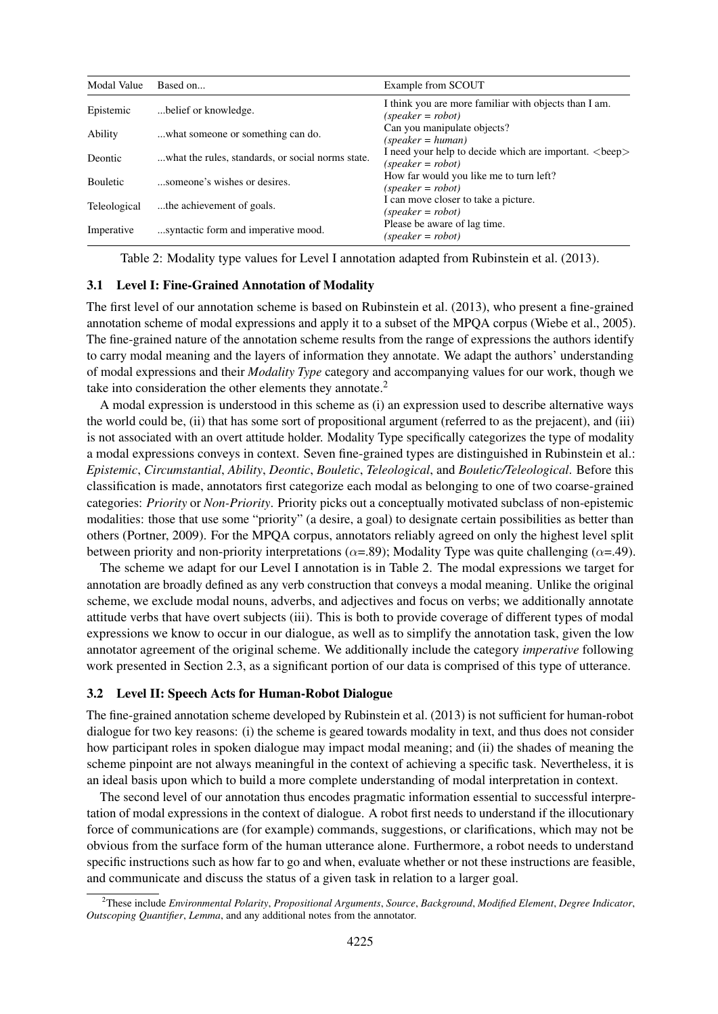| Modal Value         | Based on                                          | Example from SCOUT                                                              |
|---------------------|---------------------------------------------------|---------------------------------------------------------------------------------|
| Epistemic           | belief or knowledge.                              | I think you are more familiar with objects than I am.<br>$(speaker = robot)$    |
| Ability             | what someone or something can do.                 | Can you manipulate objects?<br>$(speaker = human)$                              |
| Deontic             | what the rules, standards, or social norms state. | I need your help to decide which are important.<br>beep><br>$(speaker = robot)$ |
| <b>Bouletic</b>     | someone's wishes or desires.                      | How far would you like me to turn left?<br>$(speaker = robot)$                  |
| <b>Teleological</b> | the achievement of goals.                         | I can move closer to take a picture.<br>$(speaker = robot)$                     |
| Imperative          | syntactic form and imperative mood.               | Please be aware of lag time.<br>$(speaker = robot)$                             |

Table 2: Modality type values for Level I annotation adapted from Rubinstein et al. (2013).

### 3.1 Level I: Fine-Grained Annotation of Modality

The first level of our annotation scheme is based on Rubinstein et al. (2013), who present a fine-grained annotation scheme of modal expressions and apply it to a subset of the MPQA corpus (Wiebe et al., 2005). The fine-grained nature of the annotation scheme results from the range of expressions the authors identify to carry modal meaning and the layers of information they annotate. We adapt the authors' understanding of modal expressions and their *Modality Type* category and accompanying values for our work, though we take into consideration the other elements they annotate.<sup>2</sup>

A modal expression is understood in this scheme as (i) an expression used to describe alternative ways the world could be, (ii) that has some sort of propositional argument (referred to as the prejacent), and (iii) is not associated with an overt attitude holder. Modality Type specifically categorizes the type of modality a modal expressions conveys in context. Seven fine-grained types are distinguished in Rubinstein et al.: *Epistemic*, *Circumstantial*, *Ability*, *Deontic*, *Bouletic*, *Teleological*, and *Bouletic/Teleological*. Before this classification is made, annotators first categorize each modal as belonging to one of two coarse-grained categories: *Priority* or *Non-Priority*. Priority picks out a conceptually motivated subclass of non-epistemic modalities: those that use some "priority" (a desire, a goal) to designate certain possibilities as better than others (Portner, 2009). For the MPQA corpus, annotators reliably agreed on only the highest level split between priority and non-priority interpretations ( $\alpha$ =.89); Modality Type was quite challenging ( $\alpha$ =.49).

The scheme we adapt for our Level I annotation is in Table 2. The modal expressions we target for annotation are broadly defined as any verb construction that conveys a modal meaning. Unlike the original scheme, we exclude modal nouns, adverbs, and adjectives and focus on verbs; we additionally annotate attitude verbs that have overt subjects (iii). This is both to provide coverage of different types of modal expressions we know to occur in our dialogue, as well as to simplify the annotation task, given the low annotator agreement of the original scheme. We additionally include the category *imperative* following work presented in Section 2.3, as a significant portion of our data is comprised of this type of utterance.

#### 3.2 Level II: Speech Acts for Human-Robot Dialogue

The fine-grained annotation scheme developed by Rubinstein et al. (2013) is not sufficient for human-robot dialogue for two key reasons: (i) the scheme is geared towards modality in text, and thus does not consider how participant roles in spoken dialogue may impact modal meaning; and (ii) the shades of meaning the scheme pinpoint are not always meaningful in the context of achieving a specific task. Nevertheless, it is an ideal basis upon which to build a more complete understanding of modal interpretation in context.

The second level of our annotation thus encodes pragmatic information essential to successful interpretation of modal expressions in the context of dialogue. A robot first needs to understand if the illocutionary force of communications are (for example) commands, suggestions, or clarifications, which may not be obvious from the surface form of the human utterance alone. Furthermore, a robot needs to understand specific instructions such as how far to go and when, evaluate whether or not these instructions are feasible, and communicate and discuss the status of a given task in relation to a larger goal.

<sup>2</sup>These include *Environmental Polarity*, *Propositional Arguments*, *Source*, *Background*, *Modified Element*, *Degree Indicator*, *Outscoping Quantifier*, *Lemma*, and any additional notes from the annotator.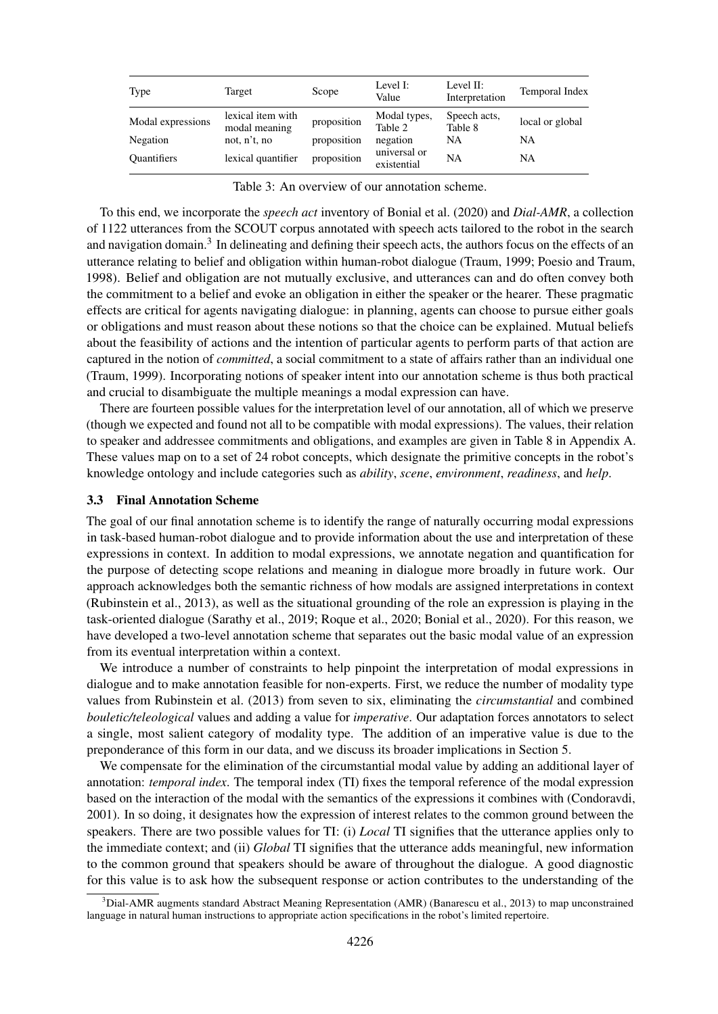| Type                                                | Target                                                                   | Scope                                     | Level I:<br>Value                                                  | Level II:<br>Interpretation                       | Temporal Index                            |
|-----------------------------------------------------|--------------------------------------------------------------------------|-------------------------------------------|--------------------------------------------------------------------|---------------------------------------------------|-------------------------------------------|
| Modal expressions<br>Negation<br><b>Quantifiers</b> | lexical item with<br>modal meaning<br>not, n't, no<br>lexical quantifier | proposition<br>proposition<br>proposition | Modal types,<br>Table 2<br>negation<br>universal or<br>existential | Speech acts,<br>Table 8<br><b>NA</b><br><b>NA</b> | local or global<br><b>NA</b><br><b>NA</b> |

| Table 3: An overview of our annotation scheme. |  |  |  |  |  |
|------------------------------------------------|--|--|--|--|--|
|------------------------------------------------|--|--|--|--|--|

To this end, we incorporate the *speech act* inventory of Bonial et al. (2020) and *Dial-AMR*, a collection of 1122 utterances from the SCOUT corpus annotated with speech acts tailored to the robot in the search and navigation domain.<sup>3</sup> In delineating and defining their speech acts, the authors focus on the effects of an utterance relating to belief and obligation within human-robot dialogue (Traum, 1999; Poesio and Traum, 1998). Belief and obligation are not mutually exclusive, and utterances can and do often convey both the commitment to a belief and evoke an obligation in either the speaker or the hearer. These pragmatic effects are critical for agents navigating dialogue: in planning, agents can choose to pursue either goals or obligations and must reason about these notions so that the choice can be explained. Mutual beliefs about the feasibility of actions and the intention of particular agents to perform parts of that action are captured in the notion of *committed*, a social commitment to a state of affairs rather than an individual one (Traum, 1999). Incorporating notions of speaker intent into our annotation scheme is thus both practical and crucial to disambiguate the multiple meanings a modal expression can have.

There are fourteen possible values for the interpretation level of our annotation, all of which we preserve (though we expected and found not all to be compatible with modal expressions). The values, their relation to speaker and addressee commitments and obligations, and examples are given in Table 8 in Appendix A. These values map on to a set of 24 robot concepts, which designate the primitive concepts in the robot's knowledge ontology and include categories such as *ability*, *scene*, *environment*, *readiness*, and *help*.

### 3.3 Final Annotation Scheme

The goal of our final annotation scheme is to identify the range of naturally occurring modal expressions in task-based human-robot dialogue and to provide information about the use and interpretation of these expressions in context. In addition to modal expressions, we annotate negation and quantification for the purpose of detecting scope relations and meaning in dialogue more broadly in future work. Our approach acknowledges both the semantic richness of how modals are assigned interpretations in context (Rubinstein et al., 2013), as well as the situational grounding of the role an expression is playing in the task-oriented dialogue (Sarathy et al., 2019; Roque et al., 2020; Bonial et al., 2020). For this reason, we have developed a two-level annotation scheme that separates out the basic modal value of an expression from its eventual interpretation within a context.

We introduce a number of constraints to help pinpoint the interpretation of modal expressions in dialogue and to make annotation feasible for non-experts. First, we reduce the number of modality type values from Rubinstein et al. (2013) from seven to six, eliminating the *circumstantial* and combined *bouletic/teleological* values and adding a value for *imperative*. Our adaptation forces annotators to select a single, most salient category of modality type. The addition of an imperative value is due to the preponderance of this form in our data, and we discuss its broader implications in Section 5.

We compensate for the elimination of the circumstantial modal value by adding an additional layer of annotation: *temporal index*. The temporal index (TI) fixes the temporal reference of the modal expression based on the interaction of the modal with the semantics of the expressions it combines with (Condoravdi, 2001). In so doing, it designates how the expression of interest relates to the common ground between the speakers. There are two possible values for TI: (i) *Local* TI signifies that the utterance applies only to the immediate context; and (ii) *Global* TI signifies that the utterance adds meaningful, new information to the common ground that speakers should be aware of throughout the dialogue. A good diagnostic for this value is to ask how the subsequent response or action contributes to the understanding of the

 $3$ Dial-AMR augments standard Abstract Meaning Representation (AMR) (Banarescu et al., 2013) to map unconstrained language in natural human instructions to appropriate action specifications in the robot's limited repertoire.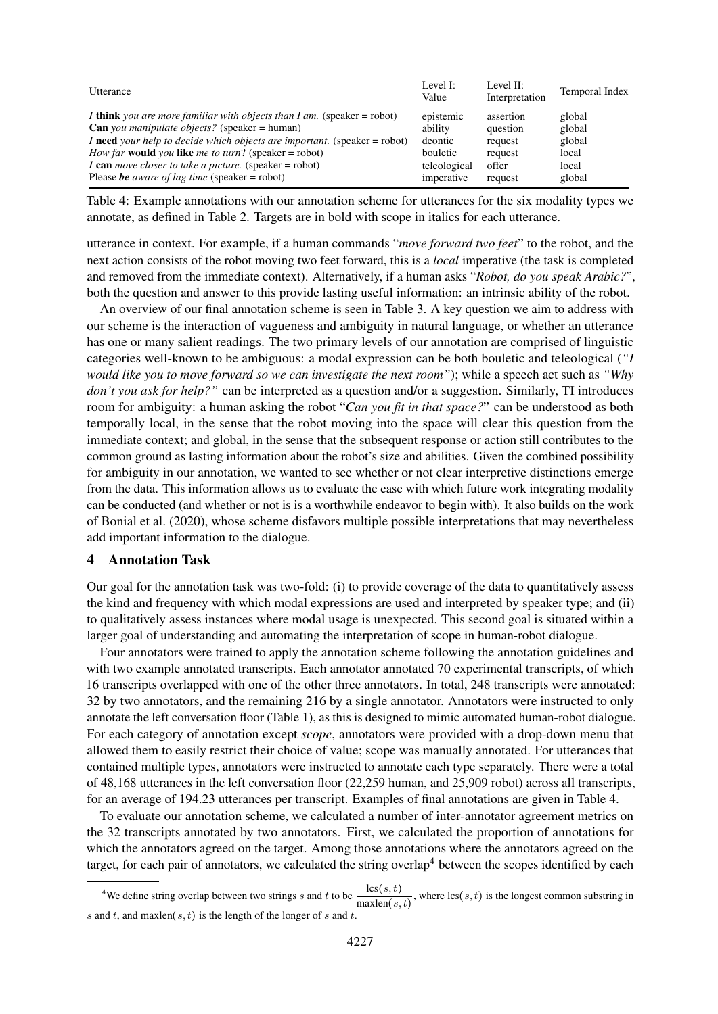| Utterance                                                                                | Level I:<br>Value | Level II:<br>Interpretation | Temporal Index |
|------------------------------------------------------------------------------------------|-------------------|-----------------------------|----------------|
| I think you are more familiar with objects than I am. (speaker = robot)                  | epistemic         | assertion                   | global         |
| <b>Can</b> you manipulate objects? (speaker = human)                                     | ability           | question                    | global         |
| I need your help to decide which objects are important. (speaker = robot)                | deontic           | request                     | global         |
| <i>How far</i> <b>would</b> <i>you</i> <b>like</b> <i>me to turn</i> ? (speaker = robot) | bouletic          | request                     | local          |
| I can move closer to take a picture. (speaker = robot)                                   | teleological      | offer                       | local          |
| Please be aware of lag time (speaker = robot)                                            | imperative        | request                     | global         |

Table 4: Example annotations with our annotation scheme for utterances for the six modality types we annotate, as defined in Table 2. Targets are in bold with scope in italics for each utterance.

utterance in context. For example, if a human commands "*move forward two feet*" to the robot, and the next action consists of the robot moving two feet forward, this is a *local* imperative (the task is completed and removed from the immediate context). Alternatively, if a human asks "*Robot, do you speak Arabic?*", both the question and answer to this provide lasting useful information: an intrinsic ability of the robot.

An overview of our final annotation scheme is seen in Table 3. A key question we aim to address with our scheme is the interaction of vagueness and ambiguity in natural language, or whether an utterance has one or many salient readings. The two primary levels of our annotation are comprised of linguistic categories well-known to be ambiguous: a modal expression can be both bouletic and teleological (*"I would like you to move forward so we can investigate the next room"*); while a speech act such as *"Why don't you ask for help?"* can be interpreted as a question and/or a suggestion. Similarly, TI introduces room for ambiguity: a human asking the robot "*Can you fit in that space?*" can be understood as both temporally local, in the sense that the robot moving into the space will clear this question from the immediate context; and global, in the sense that the subsequent response or action still contributes to the common ground as lasting information about the robot's size and abilities. Given the combined possibility for ambiguity in our annotation, we wanted to see whether or not clear interpretive distinctions emerge from the data. This information allows us to evaluate the ease with which future work integrating modality can be conducted (and whether or not is is a worthwhile endeavor to begin with). It also builds on the work of Bonial et al. (2020), whose scheme disfavors multiple possible interpretations that may nevertheless add important information to the dialogue.

### 4 Annotation Task

Our goal for the annotation task was two-fold: (i) to provide coverage of the data to quantitatively assess the kind and frequency with which modal expressions are used and interpreted by speaker type; and (ii) to qualitatively assess instances where modal usage is unexpected. This second goal is situated within a larger goal of understanding and automating the interpretation of scope in human-robot dialogue.

Four annotators were trained to apply the annotation scheme following the annotation guidelines and with two example annotated transcripts. Each annotator annotated 70 experimental transcripts, of which 16 transcripts overlapped with one of the other three annotators. In total, 248 transcripts were annotated: 32 by two annotators, and the remaining 216 by a single annotator. Annotators were instructed to only annotate the left conversation floor (Table 1), as this is designed to mimic automated human-robot dialogue. For each category of annotation except *scope*, annotators were provided with a drop-down menu that allowed them to easily restrict their choice of value; scope was manually annotated. For utterances that contained multiple types, annotators were instructed to annotate each type separately. There were a total of 48,168 utterances in the left conversation floor (22,259 human, and 25,909 robot) across all transcripts, for an average of 194.23 utterances per transcript. Examples of final annotations are given in Table 4.

To evaluate our annotation scheme, we calculated a number of inter-annotator agreement metrics on the 32 transcripts annotated by two annotators. First, we calculated the proportion of annotations for which the annotators agreed on the target. Among those annotations where the annotators agreed on the target, for each pair of annotators, we calculated the string overlap<sup>4</sup> between the scopes identified by each

<sup>&</sup>lt;sup>4</sup>We define string overlap between two strings s and t to be  $\frac{\text{lcs}(s,t)}{\text{maxlen}(s,t)}$ , where  $\text{lcs}(s,t)$  is the longest common substring in s and t, and maxlen $(s, t)$  is the length of the longer of s and t.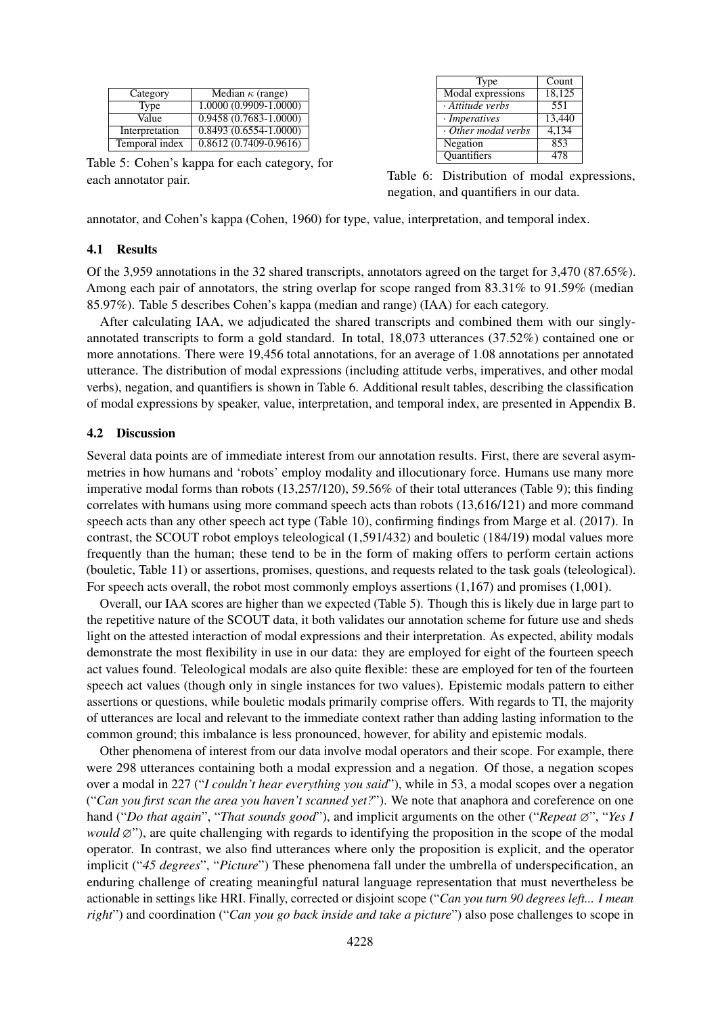| Category       | Median $\kappa$ (range)   |
|----------------|---------------------------|
| Type           | $1.0000(0.9909-1.0000)$   |
| Value          | $0.9458(0.7683 - 1.0000)$ |
| Interpretation | $0.8493(0.6554-1.0000)$   |
| Temporal index | $0.8612(0.7409 - 0.9616)$ |

Table 5: Cohen's kappa for each category, for each annotator pair.

| Type               | Count  |
|--------------------|--------|
| Modal expressions  | 18,125 |
| Attitude verbs     | 551    |
| · Imperatives      | 13,440 |
| Other modal verbs  | 4,134  |
| Negation           | 853    |
| <b>Quantifiers</b> | 478    |

Table 6: Distribution of modal expressions, negation, and quantifiers in our data.

annotator, and Cohen's kappa (Cohen, 1960) for type, value, interpretation, and temporal index.

### 4.1 Results

Of the 3,959 annotations in the 32 shared transcripts, annotators agreed on the target for 3,470 (87.65%). Among each pair of annotators, the string overlap for scope ranged from 83.31% to 91.59% (median 85.97%). Table 5 describes Cohen's kappa (median and range) (IAA) for each category.

After calculating IAA, we adjudicated the shared transcripts and combined them with our singlyannotated transcripts to form a gold standard. In total, 18,073 utterances (37.52%) contained one or more annotations. There were 19,456 total annotations, for an average of 1.08 annotations per annotated utterance. The distribution of modal expressions (including attitude verbs, imperatives, and other modal verbs), negation, and quantifiers is shown in Table 6. Additional result tables, describing the classification of modal expressions by speaker, value, interpretation, and temporal index, are presented in Appendix B.

### 4.2 Discussion

Several data points are of immediate interest from our annotation results. First, there are several asymmetries in how humans and 'robots' employ modality and illocutionary force. Humans use many more imperative modal forms than robots (13,257/120), 59.56% of their total utterances (Table 9); this finding correlates with humans using more command speech acts than robots (13,616/121) and more command speech acts than any other speech act type (Table 10), confirming findings from Marge et al. (2017). In contrast, the SCOUT robot employs teleological (1,591/432) and bouletic (184/19) modal values more frequently than the human; these tend to be in the form of making offers to perform certain actions (bouletic, Table 11) or assertions, promises, questions, and requests related to the task goals (teleological). For speech acts overall, the robot most commonly employs assertions  $(1,167)$  and promises  $(1,001)$ .

Overall, our IAA scores are higher than we expected (Table 5). Though this is likely due in large part to the repetitive nature of the SCOUT data, it both validates our annotation scheme for future use and sheds light on the attested interaction of modal expressions and their interpretation. As expected, ability modals demonstrate the most flexibility in use in our data: they are employed for eight of the fourteen speech act values found. Teleological modals are also quite flexible: these are employed for ten of the fourteen speech act values (though only in single instances for two values). Epistemic modals pattern to either assertions or questions, while bouletic modals primarily comprise offers. With regards to TI, the majority of utterances are local and relevant to the immediate context rather than adding lasting information to the common ground; this imbalance is less pronounced, however, for ability and epistemic modals.

Other phenomena of interest from our data involve modal operators and their scope. For example, there were 298 utterances containing both a modal expression and a negation. Of those, a negation scopes over a modal in 227 ("*I couldn't hear everything you said*"), while in 53, a modal scopes over a negation ("*Can you first scan the area you haven't scanned yet?*"). We note that anaphora and coreference on one hand ("*Do that again*", "*That sounds good*"), and implicit arguments on the other ("*Repeat* ∅", "*Yes I would*  $\emptyset$ "), are quite challenging with regards to identifying the proposition in the scope of the modal operator. In contrast, we also find utterances where only the proposition is explicit, and the operator implicit ("*45 degrees*", "*Picture*") These phenomena fall under the umbrella of underspecification, an enduring challenge of creating meaningful natural language representation that must nevertheless be actionable in settings like HRI. Finally, corrected or disjoint scope ("*Can you turn 90 degrees left... I mean right*") and coordination ("*Can you go back inside and take a picture*") also pose challenges to scope in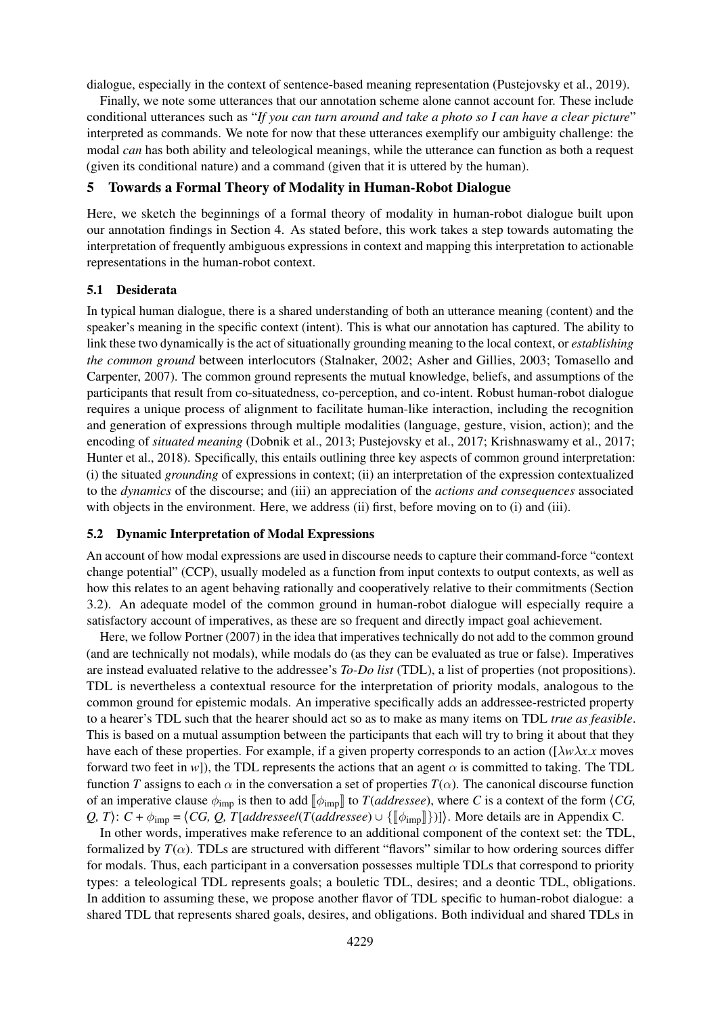dialogue, especially in the context of sentence-based meaning representation (Pustejovsky et al., 2019).

Finally, we note some utterances that our annotation scheme alone cannot account for. These include conditional utterances such as "*If you can turn around and take a photo so I can have a clear picture*" interpreted as commands. We note for now that these utterances exemplify our ambiguity challenge: the modal *can* has both ability and teleological meanings, while the utterance can function as both a request (given its conditional nature) and a command (given that it is uttered by the human).

### 5 Towards a Formal Theory of Modality in Human-Robot Dialogue

Here, we sketch the beginnings of a formal theory of modality in human-robot dialogue built upon our annotation findings in Section 4. As stated before, this work takes a step towards automating the interpretation of frequently ambiguous expressions in context and mapping this interpretation to actionable representations in the human-robot context.

### 5.1 Desiderata

In typical human dialogue, there is a shared understanding of both an utterance meaning (content) and the speaker's meaning in the specific context (intent). This is what our annotation has captured. The ability to link these two dynamically is the act of situationally grounding meaning to the local context, or *establishing the common ground* between interlocutors (Stalnaker, 2002; Asher and Gillies, 2003; Tomasello and Carpenter, 2007). The common ground represents the mutual knowledge, beliefs, and assumptions of the participants that result from co-situatedness, co-perception, and co-intent. Robust human-robot dialogue requires a unique process of alignment to facilitate human-like interaction, including the recognition and generation of expressions through multiple modalities (language, gesture, vision, action); and the encoding of *situated meaning* (Dobnik et al., 2013; Pustejovsky et al., 2017; Krishnaswamy et al., 2017; Hunter et al., 2018). Specifically, this entails outlining three key aspects of common ground interpretation: (i) the situated *grounding* of expressions in context; (ii) an interpretation of the expression contextualized to the *dynamics* of the discourse; and (iii) an appreciation of the *actions and consequences* associated with objects in the environment. Here, we address (ii) first, before moving on to (i) and (iii).

### 5.2 Dynamic Interpretation of Modal Expressions

An account of how modal expressions are used in discourse needs to capture their command-force "context change potential" (CCP), usually modeled as a function from input contexts to output contexts, as well as how this relates to an agent behaving rationally and cooperatively relative to their commitments (Section 3.2). An adequate model of the common ground in human-robot dialogue will especially require a satisfactory account of imperatives, as these are so frequent and directly impact goal achievement.

Here, we follow Portner (2007) in the idea that imperatives technically do not add to the common ground (and are technically not modals), while modals do (as they can be evaluated as true or false). Imperatives are instead evaluated relative to the addressee's *To-Do list* (TDL), a list of properties (not propositions). TDL is nevertheless a contextual resource for the interpretation of priority modals, analogous to the common ground for epistemic modals. An imperative specifically adds an addressee-restricted property to a hearer's TDL such that the hearer should act so as to make as many items on TDL *true as feasible*. This is based on a mutual assumption between the participants that each will try to bring it about that they have each of these properties. For example, if a given property corresponds to an action ( $\left[\lambda w \lambda x \right]$ *x* moves forward two feet in *w*]), the TDL represents the actions that an agent  $\alpha$  is committed to taking. The TDL function *T* assigns to each  $\alpha$  in the conversation a set of properties  $T(\alpha)$ . The canonical discourse function of an imperative clause  $\phi_{\text{imp}}$  is then to add  $\phi_{\text{imp}}$  to *T*(*addressee*), where *C* is a context of the form  $\langle CG, \rangle$ *Q, T*):  $C + \phi_{\text{imp}} = \langle CG, Q, T[addressee/(T(addressee) \cup \{[\phi_{\text{imp}}]\})]\rangle$ . More details are in Appendix C.

In other words, imperatives make reference to an additional component of the context set: the TDL, formalized by  $T(\alpha)$ . TDLs are structured with different "flavors" similar to how ordering sources differ for modals. Thus, each participant in a conversation possesses multiple TDLs that correspond to priority types: a teleological TDL represents goals; a bouletic TDL, desires; and a deontic TDL, obligations. In addition to assuming these, we propose another flavor of TDL specific to human-robot dialogue: a shared TDL that represents shared goals, desires, and obligations. Both individual and shared TDLs in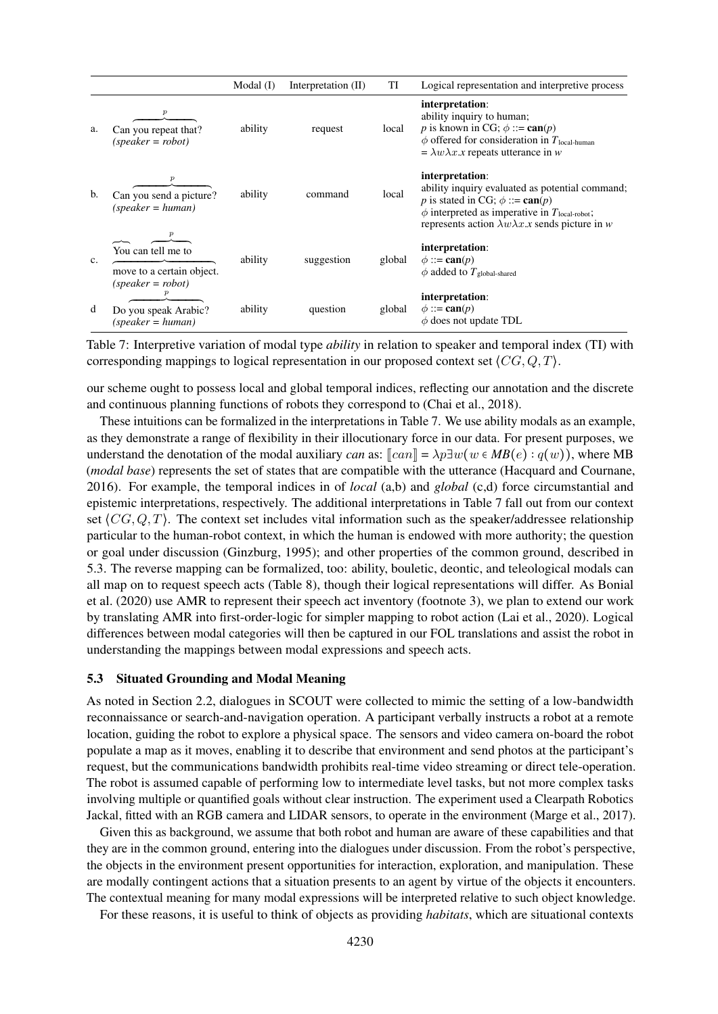|    |                                                                        | $Modal$ (I) | Interpretation (II) | TI     | Logical representation and interpretive process                                                                                                                                                                                                     |
|----|------------------------------------------------------------------------|-------------|---------------------|--------|-----------------------------------------------------------------------------------------------------------------------------------------------------------------------------------------------------------------------------------------------------|
| a. | $\boldsymbol{p}$<br>Can you repeat that?<br>$(speaker = robot)$        | ability     | request             | local  | interpretation:<br>ability inquiry to human;<br>p is known in CG; $\phi ::= \text{can}(p)$<br>$\phi$ offered for consideration in $T_{\text{local-human}}$<br>$= \lambda w \lambda x \cdot x$ repeats utterance in w                                |
| b. | $\boldsymbol{p}$<br>Can you send a picture?<br>$(speaker = human)$     | ability     | command             | local  | interpretation:<br>ability inquiry evaluated as potential command;<br>p is stated in CG; $\phi ::= \text{can}(p)$<br>$\phi$ interpreted as imperative in $T_{\text{local-robot}}$ ;<br>represents action $\lambda w \lambda x.x$ sends picture in w |
| c. | You can tell me to<br>move to a certain object.<br>$(speaker = robot)$ | ability     | suggestion          | global | interpretation:<br>$\phi ::= \text{can}(p)$<br>$\phi$ added to $T_{\text{global-shared}}$                                                                                                                                                           |
| d  | $\boldsymbol{p}$<br>Do you speak Arabic?<br>$(speaker = human)$        | ability     | question            | global | interpretation:<br>$\phi ::= \text{can}(p)$<br>$\phi$ does not update TDL                                                                                                                                                                           |

Table 7: Interpretive variation of modal type *ability* in relation to speaker and temporal index (TI) with corresponding mappings to logical representation in our proposed context set  $\langle CG,Q,T \rangle$ .

our scheme ought to possess local and global temporal indices, reflecting our annotation and the discrete and continuous planning functions of robots they correspond to (Chai et al., 2018).

These intuitions can be formalized in the interpretations in Table 7. We use ability modals as an example, as they demonstrate a range of flexibility in their illocutionary force in our data. For present purposes, we understand the denotation of the modal auxiliary *can* as:  $\llbracket can \rrbracket = \lambda p \exists w (w \in MB(e) : q(w))$ , where MB (*modal base*) represents the set of states that are compatible with the utterance (Hacquard and Cournane, 2016). For example, the temporal indices in of *local* (a,b) and *global* (c,d) force circumstantial and epistemic interpretations, respectively. The additional interpretations in Table 7 fall out from our context set  $\langle CG, Q, T \rangle$ . The context set includes vital information such as the speaker/addressee relationship particular to the human-robot context, in which the human is endowed with more authority; the question or goal under discussion (Ginzburg, 1995); and other properties of the common ground, described in 5.3. The reverse mapping can be formalized, too: ability, bouletic, deontic, and teleological modals can all map on to request speech acts (Table 8), though their logical representations will differ. As Bonial et al. (2020) use AMR to represent their speech act inventory (footnote 3), we plan to extend our work by translating AMR into first-order-logic for simpler mapping to robot action (Lai et al., 2020). Logical differences between modal categories will then be captured in our FOL translations and assist the robot in understanding the mappings between modal expressions and speech acts.

### 5.3 Situated Grounding and Modal Meaning

As noted in Section 2.2, dialogues in SCOUT were collected to mimic the setting of a low-bandwidth reconnaissance or search-and-navigation operation. A participant verbally instructs a robot at a remote location, guiding the robot to explore a physical space. The sensors and video camera on-board the robot populate a map as it moves, enabling it to describe that environment and send photos at the participant's request, but the communications bandwidth prohibits real-time video streaming or direct tele-operation. The robot is assumed capable of performing low to intermediate level tasks, but not more complex tasks involving multiple or quantified goals without clear instruction. The experiment used a Clearpath Robotics Jackal, fitted with an RGB camera and LIDAR sensors, to operate in the environment (Marge et al., 2017).

Given this as background, we assume that both robot and human are aware of these capabilities and that they are in the common ground, entering into the dialogues under discussion. From the robot's perspective, the objects in the environment present opportunities for interaction, exploration, and manipulation. These are modally contingent actions that a situation presents to an agent by virtue of the objects it encounters. The contextual meaning for many modal expressions will be interpreted relative to such object knowledge.

For these reasons, it is useful to think of objects as providing *habitats*, which are situational contexts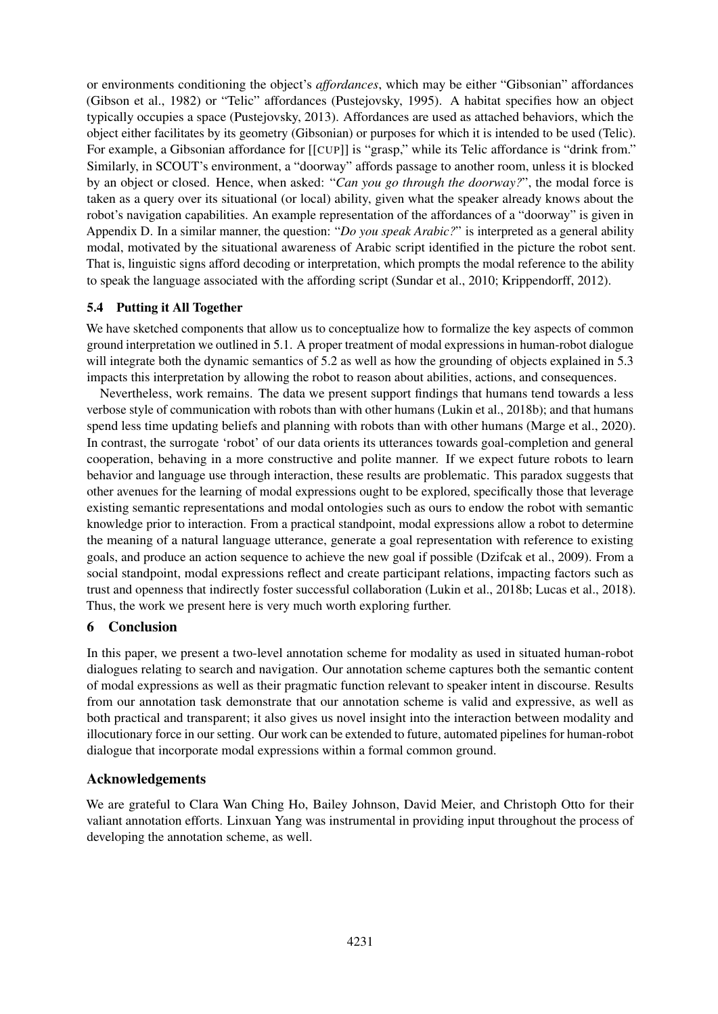or environments conditioning the object's *affordances*, which may be either "Gibsonian" affordances (Gibson et al., 1982) or "Telic" affordances (Pustejovsky, 1995). A habitat specifies how an object typically occupies a space (Pustejovsky, 2013). Affordances are used as attached behaviors, which the object either facilitates by its geometry (Gibsonian) or purposes for which it is intended to be used (Telic). For example, a Gibsonian affordance for [[CUP]] is "grasp," while its Telic affordance is "drink from." Similarly, in SCOUT's environment, a "doorway" affords passage to another room, unless it is blocked by an object or closed. Hence, when asked: "*Can you go through the doorway?*", the modal force is taken as a query over its situational (or local) ability, given what the speaker already knows about the robot's navigation capabilities. An example representation of the affordances of a "doorway" is given in Appendix D. In a similar manner, the question: "*Do you speak Arabic?*" is interpreted as a general ability modal, motivated by the situational awareness of Arabic script identified in the picture the robot sent. That is, linguistic signs afford decoding or interpretation, which prompts the modal reference to the ability to speak the language associated with the affording script (Sundar et al., 2010; Krippendorff, 2012).

## 5.4 Putting it All Together

We have sketched components that allow us to conceptualize how to formalize the key aspects of common ground interpretation we outlined in 5.1. A proper treatment of modal expressions in human-robot dialogue will integrate both the dynamic semantics of 5.2 as well as how the grounding of objects explained in 5.3 impacts this interpretation by allowing the robot to reason about abilities, actions, and consequences.

Nevertheless, work remains. The data we present support findings that humans tend towards a less verbose style of communication with robots than with other humans (Lukin et al., 2018b); and that humans spend less time updating beliefs and planning with robots than with other humans (Marge et al., 2020). In contrast, the surrogate 'robot' of our data orients its utterances towards goal-completion and general cooperation, behaving in a more constructive and polite manner. If we expect future robots to learn behavior and language use through interaction, these results are problematic. This paradox suggests that other avenues for the learning of modal expressions ought to be explored, specifically those that leverage existing semantic representations and modal ontologies such as ours to endow the robot with semantic knowledge prior to interaction. From a practical standpoint, modal expressions allow a robot to determine the meaning of a natural language utterance, generate a goal representation with reference to existing goals, and produce an action sequence to achieve the new goal if possible (Dzifcak et al., 2009). From a social standpoint, modal expressions reflect and create participant relations, impacting factors such as trust and openness that indirectly foster successful collaboration (Lukin et al., 2018b; Lucas et al., 2018). Thus, the work we present here is very much worth exploring further.

## 6 Conclusion

In this paper, we present a two-level annotation scheme for modality as used in situated human-robot dialogues relating to search and navigation. Our annotation scheme captures both the semantic content of modal expressions as well as their pragmatic function relevant to speaker intent in discourse. Results from our annotation task demonstrate that our annotation scheme is valid and expressive, as well as both practical and transparent; it also gives us novel insight into the interaction between modality and illocutionary force in our setting. Our work can be extended to future, automated pipelines for human-robot dialogue that incorporate modal expressions within a formal common ground.

# Acknowledgements

We are grateful to Clara Wan Ching Ho, Bailey Johnson, David Meier, and Christoph Otto for their valiant annotation efforts. Linxuan Yang was instrumental in providing input throughout the process of developing the annotation scheme, as well.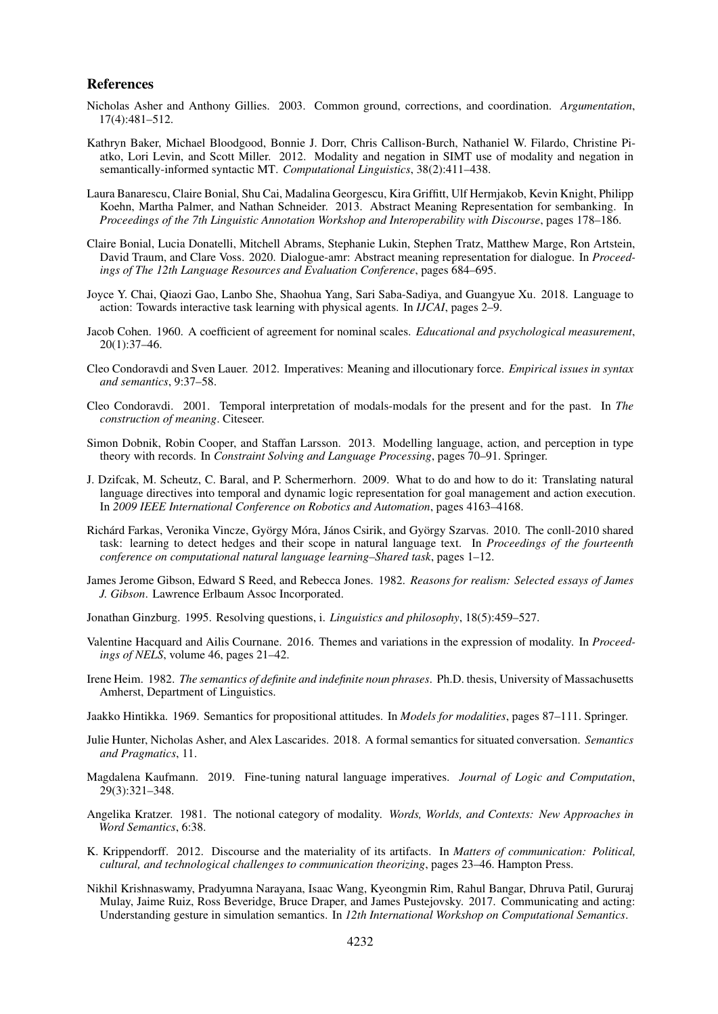### References

- Nicholas Asher and Anthony Gillies. 2003. Common ground, corrections, and coordination. *Argumentation*, 17(4):481–512.
- Kathryn Baker, Michael Bloodgood, Bonnie J. Dorr, Chris Callison-Burch, Nathaniel W. Filardo, Christine Piatko, Lori Levin, and Scott Miller. 2012. Modality and negation in SIMT use of modality and negation in semantically-informed syntactic MT. *Computational Linguistics*, 38(2):411–438.
- Laura Banarescu, Claire Bonial, Shu Cai, Madalina Georgescu, Kira Griffitt, Ulf Hermjakob, Kevin Knight, Philipp Koehn, Martha Palmer, and Nathan Schneider. 2013. Abstract Meaning Representation for sembanking. In *Proceedings of the 7th Linguistic Annotation Workshop and Interoperability with Discourse*, pages 178–186.
- Claire Bonial, Lucia Donatelli, Mitchell Abrams, Stephanie Lukin, Stephen Tratz, Matthew Marge, Ron Artstein, David Traum, and Clare Voss. 2020. Dialogue-amr: Abstract meaning representation for dialogue. In *Proceedings of The 12th Language Resources and Evaluation Conference*, pages 684–695.
- Joyce Y. Chai, Qiaozi Gao, Lanbo She, Shaohua Yang, Sari Saba-Sadiya, and Guangyue Xu. 2018. Language to action: Towards interactive task learning with physical agents. In *IJCAI*, pages 2–9.
- Jacob Cohen. 1960. A coefficient of agreement for nominal scales. *Educational and psychological measurement*, 20(1):37–46.
- Cleo Condoravdi and Sven Lauer. 2012. Imperatives: Meaning and illocutionary force. *Empirical issues in syntax and semantics*, 9:37–58.
- Cleo Condoravdi. 2001. Temporal interpretation of modals-modals for the present and for the past. In *The construction of meaning*. Citeseer.
- Simon Dobnik, Robin Cooper, and Staffan Larsson. 2013. Modelling language, action, and perception in type theory with records. In *Constraint Solving and Language Processing*, pages 70–91. Springer.
- J. Dzifcak, M. Scheutz, C. Baral, and P. Schermerhorn. 2009. What to do and how to do it: Translating natural language directives into temporal and dynamic logic representation for goal management and action execution. In *2009 IEEE International Conference on Robotics and Automation*, pages 4163–4168.
- Richárd Farkas, Veronika Vincze, György Móra, János Csirik, and György Szarvas. 2010. The conll-2010 shared task: learning to detect hedges and their scope in natural language text. In *Proceedings of the fourteenth conference on computational natural language learning–Shared task*, pages 1–12.
- James Jerome Gibson, Edward S Reed, and Rebecca Jones. 1982. *Reasons for realism: Selected essays of James J. Gibson*. Lawrence Erlbaum Assoc Incorporated.
- Jonathan Ginzburg. 1995. Resolving questions, i. *Linguistics and philosophy*, 18(5):459–527.
- Valentine Hacquard and Ailis Cournane. 2016. Themes and variations in the expression of modality. In *Proceedings of NELS*, volume 46, pages 21–42.
- Irene Heim. 1982. *The semantics of definite and indefinite noun phrases*. Ph.D. thesis, University of Massachusetts Amherst, Department of Linguistics.
- Jaakko Hintikka. 1969. Semantics for propositional attitudes. In *Models for modalities*, pages 87–111. Springer.
- Julie Hunter, Nicholas Asher, and Alex Lascarides. 2018. A formal semantics for situated conversation. *Semantics and Pragmatics*, 11.
- Magdalena Kaufmann. 2019. Fine-tuning natural language imperatives. *Journal of Logic and Computation*, 29(3):321–348.
- Angelika Kratzer. 1981. The notional category of modality. *Words, Worlds, and Contexts: New Approaches in Word Semantics*, 6:38.
- K. Krippendorff. 2012. Discourse and the materiality of its artifacts. In *Matters of communication: Political, cultural, and technological challenges to communication theorizing*, pages 23–46. Hampton Press.
- Nikhil Krishnaswamy, Pradyumna Narayana, Isaac Wang, Kyeongmin Rim, Rahul Bangar, Dhruva Patil, Gururaj Mulay, Jaime Ruiz, Ross Beveridge, Bruce Draper, and James Pustejovsky. 2017. Communicating and acting: Understanding gesture in simulation semantics. In *12th International Workshop on Computational Semantics*.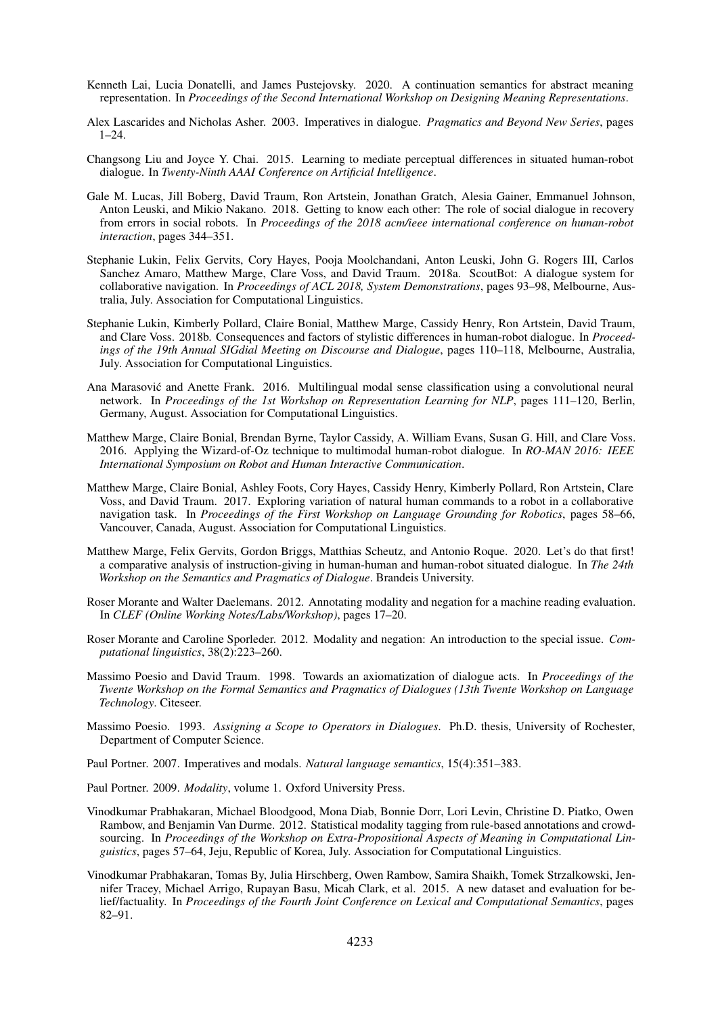- Kenneth Lai, Lucia Donatelli, and James Pustejovsky. 2020. A continuation semantics for abstract meaning representation. In *Proceedings of the Second International Workshop on Designing Meaning Representations*.
- Alex Lascarides and Nicholas Asher. 2003. Imperatives in dialogue. *Pragmatics and Beyond New Series*, pages  $1 - 24$
- Changsong Liu and Joyce Y. Chai. 2015. Learning to mediate perceptual differences in situated human-robot dialogue. In *Twenty-Ninth AAAI Conference on Artificial Intelligence*.
- Gale M. Lucas, Jill Boberg, David Traum, Ron Artstein, Jonathan Gratch, Alesia Gainer, Emmanuel Johnson, Anton Leuski, and Mikio Nakano. 2018. Getting to know each other: The role of social dialogue in recovery from errors in social robots. In *Proceedings of the 2018 acm/ieee international conference on human-robot interaction*, pages 344–351.
- Stephanie Lukin, Felix Gervits, Cory Hayes, Pooja Moolchandani, Anton Leuski, John G. Rogers III, Carlos Sanchez Amaro, Matthew Marge, Clare Voss, and David Traum. 2018a. ScoutBot: A dialogue system for collaborative navigation. In *Proceedings of ACL 2018, System Demonstrations*, pages 93–98, Melbourne, Australia, July. Association for Computational Linguistics.
- Stephanie Lukin, Kimberly Pollard, Claire Bonial, Matthew Marge, Cassidy Henry, Ron Artstein, David Traum, and Clare Voss. 2018b. Consequences and factors of stylistic differences in human-robot dialogue. In *Proceedings of the 19th Annual SIGdial Meeting on Discourse and Dialogue*, pages 110–118, Melbourne, Australia, July. Association for Computational Linguistics.
- Ana Marasovic and Anette Frank. 2016. Multilingual modal sense classification using a convolutional neural ´ network. In *Proceedings of the 1st Workshop on Representation Learning for NLP*, pages 111–120, Berlin, Germany, August. Association for Computational Linguistics.
- Matthew Marge, Claire Bonial, Brendan Byrne, Taylor Cassidy, A. William Evans, Susan G. Hill, and Clare Voss. 2016. Applying the Wizard-of-Oz technique to multimodal human-robot dialogue. In *RO-MAN 2016: IEEE International Symposium on Robot and Human Interactive Communication*.
- Matthew Marge, Claire Bonial, Ashley Foots, Cory Hayes, Cassidy Henry, Kimberly Pollard, Ron Artstein, Clare Voss, and David Traum. 2017. Exploring variation of natural human commands to a robot in a collaborative navigation task. In *Proceedings of the First Workshop on Language Grounding for Robotics*, pages 58–66, Vancouver, Canada, August. Association for Computational Linguistics.
- Matthew Marge, Felix Gervits, Gordon Briggs, Matthias Scheutz, and Antonio Roque. 2020. Let's do that first! a comparative analysis of instruction-giving in human-human and human-robot situated dialogue. In *The 24th Workshop on the Semantics and Pragmatics of Dialogue*. Brandeis University.
- Roser Morante and Walter Daelemans. 2012. Annotating modality and negation for a machine reading evaluation. In *CLEF (Online Working Notes/Labs/Workshop)*, pages 17–20.
- Roser Morante and Caroline Sporleder. 2012. Modality and negation: An introduction to the special issue. *Computational linguistics*, 38(2):223–260.
- Massimo Poesio and David Traum. 1998. Towards an axiomatization of dialogue acts. In *Proceedings of the Twente Workshop on the Formal Semantics and Pragmatics of Dialogues (13th Twente Workshop on Language Technology*. Citeseer.
- Massimo Poesio. 1993. *Assigning a Scope to Operators in Dialogues*. Ph.D. thesis, University of Rochester, Department of Computer Science.
- Paul Portner. 2007. Imperatives and modals. *Natural language semantics*, 15(4):351–383.
- Paul Portner. 2009. *Modality*, volume 1. Oxford University Press.
- Vinodkumar Prabhakaran, Michael Bloodgood, Mona Diab, Bonnie Dorr, Lori Levin, Christine D. Piatko, Owen Rambow, and Benjamin Van Durme. 2012. Statistical modality tagging from rule-based annotations and crowdsourcing. In *Proceedings of the Workshop on Extra-Propositional Aspects of Meaning in Computational Linguistics*, pages 57–64, Jeju, Republic of Korea, July. Association for Computational Linguistics.
- Vinodkumar Prabhakaran, Tomas By, Julia Hirschberg, Owen Rambow, Samira Shaikh, Tomek Strzalkowski, Jennifer Tracey, Michael Arrigo, Rupayan Basu, Micah Clark, et al. 2015. A new dataset and evaluation for belief/factuality. In *Proceedings of the Fourth Joint Conference on Lexical and Computational Semantics*, pages 82–91.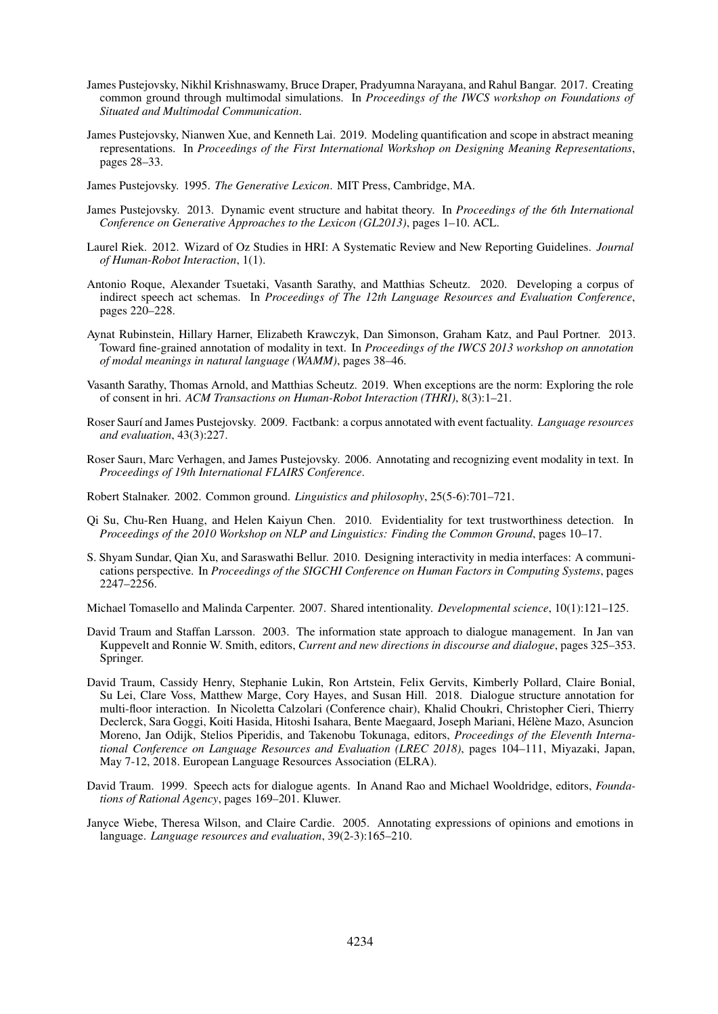- James Pustejovsky, Nikhil Krishnaswamy, Bruce Draper, Pradyumna Narayana, and Rahul Bangar. 2017. Creating common ground through multimodal simulations. In *Proceedings of the IWCS workshop on Foundations of Situated and Multimodal Communication*.
- James Pustejovsky, Nianwen Xue, and Kenneth Lai. 2019. Modeling quantification and scope in abstract meaning representations. In *Proceedings of the First International Workshop on Designing Meaning Representations*, pages 28–33.
- James Pustejovsky. 1995. *The Generative Lexicon*. MIT Press, Cambridge, MA.
- James Pustejovsky. 2013. Dynamic event structure and habitat theory. In *Proceedings of the 6th International Conference on Generative Approaches to the Lexicon (GL2013)*, pages 1–10. ACL.
- Laurel Riek. 2012. Wizard of Oz Studies in HRI: A Systematic Review and New Reporting Guidelines. *Journal of Human-Robot Interaction*, 1(1).
- Antonio Roque, Alexander Tsuetaki, Vasanth Sarathy, and Matthias Scheutz. 2020. Developing a corpus of indirect speech act schemas. In *Proceedings of The 12th Language Resources and Evaluation Conference*, pages 220–228.
- Aynat Rubinstein, Hillary Harner, Elizabeth Krawczyk, Dan Simonson, Graham Katz, and Paul Portner. 2013. Toward fine-grained annotation of modality in text. In *Proceedings of the IWCS 2013 workshop on annotation of modal meanings in natural language (WAMM)*, pages 38–46.
- Vasanth Sarathy, Thomas Arnold, and Matthias Scheutz. 2019. When exceptions are the norm: Exploring the role of consent in hri. *ACM Transactions on Human-Robot Interaction (THRI)*, 8(3):1–21.
- Roser Saurí and James Pustejovsky. 2009. Factbank: a corpus annotated with event factuality. *Language resources and evaluation*, 43(3):227.
- Roser Saurı, Marc Verhagen, and James Pustejovsky. 2006. Annotating and recognizing event modality in text. In *Proceedings of 19th International FLAIRS Conference*.
- Robert Stalnaker. 2002. Common ground. *Linguistics and philosophy*, 25(5-6):701–721.
- Qi Su, Chu-Ren Huang, and Helen Kaiyun Chen. 2010. Evidentiality for text trustworthiness detection. In *Proceedings of the 2010 Workshop on NLP and Linguistics: Finding the Common Ground*, pages 10–17.
- S. Shyam Sundar, Qian Xu, and Saraswathi Bellur. 2010. Designing interactivity in media interfaces: A communications perspective. In *Proceedings of the SIGCHI Conference on Human Factors in Computing Systems*, pages 2247–2256.

Michael Tomasello and Malinda Carpenter. 2007. Shared intentionality. *Developmental science*, 10(1):121–125.

- David Traum and Staffan Larsson. 2003. The information state approach to dialogue management. In Jan van Kuppevelt and Ronnie W. Smith, editors, *Current and new directions in discourse and dialogue*, pages 325–353. Springer.
- David Traum, Cassidy Henry, Stephanie Lukin, Ron Artstein, Felix Gervits, Kimberly Pollard, Claire Bonial, Su Lei, Clare Voss, Matthew Marge, Cory Hayes, and Susan Hill. 2018. Dialogue structure annotation for multi-floor interaction. In Nicoletta Calzolari (Conference chair), Khalid Choukri, Christopher Cieri, Thierry Declerck, Sara Goggi, Koiti Hasida, Hitoshi Isahara, Bente Maegaard, Joseph Mariani, Hélène Mazo, Asuncion Moreno, Jan Odijk, Stelios Piperidis, and Takenobu Tokunaga, editors, *Proceedings of the Eleventh International Conference on Language Resources and Evaluation (LREC 2018)*, pages 104–111, Miyazaki, Japan, May 7-12, 2018. European Language Resources Association (ELRA).
- David Traum. 1999. Speech acts for dialogue agents. In Anand Rao and Michael Wooldridge, editors, *Foundations of Rational Agency*, pages 169–201. Kluwer.
- Janyce Wiebe, Theresa Wilson, and Claire Cardie. 2005. Annotating expressions of opinions and emotions in language. *Language resources and evaluation*, 39(2-3):165–210.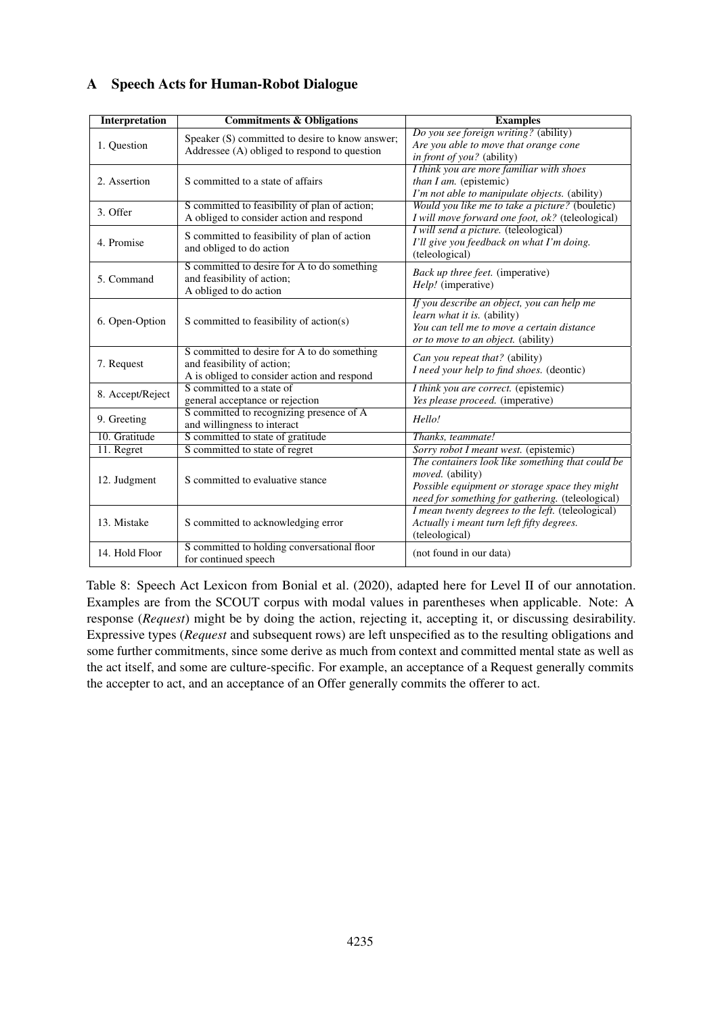| <b>Interpretation</b> | <b>Commitments &amp; Obligations</b>                                                                                     | <b>Examples</b>                                                                                                                                                                   |
|-----------------------|--------------------------------------------------------------------------------------------------------------------------|-----------------------------------------------------------------------------------------------------------------------------------------------------------------------------------|
| 1. Question           | Speaker (S) committed to desire to know answer;<br>Addressee (A) obliged to respond to question                          | Do you see foreign writing? (ability)<br>Are you able to move that orange cone<br>in front of you? (ability)                                                                      |
| 2. Assertion          | S committed to a state of affairs                                                                                        | I think you are more familiar with shoes<br>than I am. (epistemic)<br>I'm not able to manipulate objects. (ability)                                                               |
| 3. Offer              | S committed to feasibility of plan of action;<br>A obliged to consider action and respond                                | Would you like me to take a picture? (bouletic)<br>I will move forward one foot, ok? (teleological)                                                                               |
| 4. Promise            | S committed to feasibility of plan of action<br>and obliged to do action                                                 | I will send a picture. (teleological)<br>I'll give you feedback on what I'm doing.<br>(teleological)                                                                              |
| 5. Command            | S committed to desire for A to do something<br>and feasibility of action;<br>A obliged to do action                      | Back up three feet. (imperative)<br>Help! (imperative)                                                                                                                            |
| 6. Open-Option        | S committed to feasibility of action(s)                                                                                  | If you describe an object, you can help me<br>learn what it is. (ability)<br>You can tell me to move a certain distance<br>or to move to an object. (ability)                     |
| 7. Request            | S committed to desire for A to do something<br>and feasibility of action;<br>A is obliged to consider action and respond | Can you repeat that? (ability)<br>I need your help to find shoes. (deontic)                                                                                                       |
| 8. Accept/Reject      | S committed to a state of<br>general acceptance or rejection                                                             | I think you are correct. (epistemic)<br>Yes please proceed. (imperative)                                                                                                          |
| 9. Greeting           | S committed to recognizing presence of A<br>and willingness to interact                                                  | Hello!                                                                                                                                                                            |
| 10. Gratitude         | S committed to state of gratitude                                                                                        | Thanks, teammate!                                                                                                                                                                 |
| 11. Regret            | S committed to state of regret                                                                                           | Sorry robot I meant west. (epistemic)                                                                                                                                             |
| 12. Judgment          | S committed to evaluative stance                                                                                         | The containers look like something that could be<br><i>moved.</i> (ability)<br>Possible equipment or storage space they might<br>need for something for gathering. (teleological) |
| 13. Mistake           | S committed to acknowledging error                                                                                       | I mean twenty degrees to the left. (teleological)<br>Actually i meant turn left fifty degrees.<br>(teleological)                                                                  |
| 14. Hold Floor        | S committed to holding conversational floor<br>for continued speech                                                      | (not found in our data)                                                                                                                                                           |

# A Speech Acts for Human-Robot Dialogue

Table 8: Speech Act Lexicon from Bonial et al. (2020), adapted here for Level II of our annotation. Examples are from the SCOUT corpus with modal values in parentheses when applicable. Note: A response (*Request*) might be by doing the action, rejecting it, accepting it, or discussing desirability. Expressive types (*Request* and subsequent rows) are left unspecified as to the resulting obligations and some further commitments, since some derive as much from context and committed mental state as well as the act itself, and some are culture-specific. For example, an acceptance of a Request generally commits the accepter to act, and an acceptance of an Offer generally commits the offerer to act.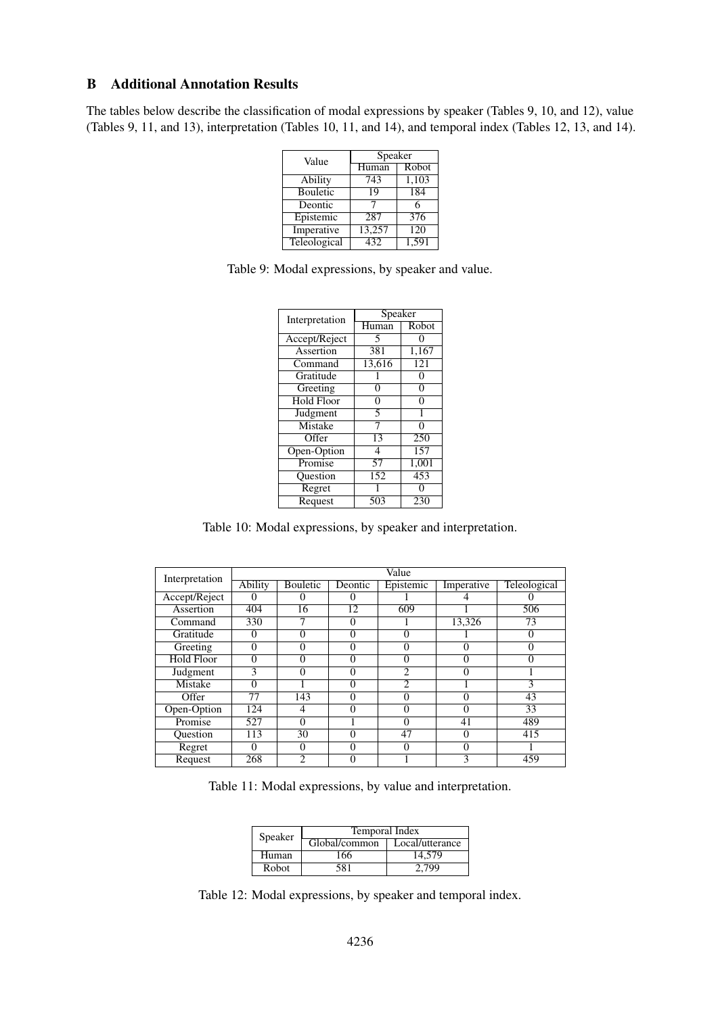## B Additional Annotation Results

The tables below describe the classification of modal expressions by speaker (Tables 9, 10, and 12), value (Tables 9, 11, and 13), interpretation (Tables 10, 11, and 14), and temporal index (Tables 12, 13, and 14).

| Value        | Speaker          |                  |  |  |
|--------------|------------------|------------------|--|--|
|              | Human            | Robot            |  |  |
| Ability      | $7\overline{43}$ | 1,103            |  |  |
| Bouletic     | 19               | 184              |  |  |
| Deontic      |                  | 6                |  |  |
| Epistemic    | 287              | 376              |  |  |
| Imperative   | 13,257           | $\overline{120}$ |  |  |
| Teleological | 432              | 1,591            |  |  |

| Interpretation                | Speaker |                  |
|-------------------------------|---------|------------------|
|                               | Human   | Robot            |
| Accept/Reject                 | 5       |                  |
| Assertion                     | 381     | 1,167            |
| $\overline{\mathrm{Command}}$ | 13,616  | $\overline{121}$ |
| Gratitude                     |         | 0                |
| Greeting                      | 0       | 0                |
| <b>Hold Floor</b>             | 0       | 0                |
| Judgment                      | 5       |                  |
| <b>Mistake</b>                |         | 0                |
| Offer                         | 13      | $\overline{250}$ |
| Open-Option                   | 4       | 157              |
| Promise                       | 57      | 1,001            |
| <b>Ouestion</b>               | 152     | 453              |
| Regret                        |         |                  |
| Request                       | 503     | 230              |

Table 10: Modal expressions, by speaker and interpretation.

| Interpretation | Value          |                 |         |                |            |              |
|----------------|----------------|-----------------|---------|----------------|------------|--------------|
|                | <b>Ability</b> | <b>Bouletic</b> | Deontic | Epistemic      | Imperative | Teleological |
| Accept/Reject  |                |                 |         |                |            |              |
| Assertion      | 404            | 16              | 12      | 609            |            | 506          |
| Command        | 330            |                 | 0       |                | 13,326     | 73           |
| Gratitude      | 0              |                 | Λ       |                |            | 0            |
| Greeting       | 0              | 0               | 0       |                | O          | 0            |
| Hold Floor     | 0              | 0               | 0       | 0              | 0          | 0            |
| Judgment       | 3              | 0               | 0       | $\mathfrak{D}$ | O          |              |
| Mistake        | 0              |                 | Λ       | 2              |            | 3            |
| Offer          | 77             | 143             | 0       | 0              | 0          | 43           |
| Open-Option    | 124            | 4               | 0       |                | 0          | 33           |
| Promise        | 527            | 0               |         | 0              | 41         | 489          |
| Ouestion       | 113            | 30              | 0       | 47             | 0          | 415          |
| Regret         | 0              | $\Omega$        | 0       | ∩              | 0          |              |
| Request        | 268            |                 | 0       |                | 3          | 459          |

Table 11: Modal expressions, by value and interpretation.

| Speaker      | Temporal Index |                 |  |  |  |
|--------------|----------------|-----------------|--|--|--|
|              | Global/common  | Local/utterance |  |  |  |
| Human        | 166            | 14.579          |  |  |  |
| <b>Robot</b> | 581            | 2.799           |  |  |  |

Table 12: Modal expressions, by speaker and temporal index.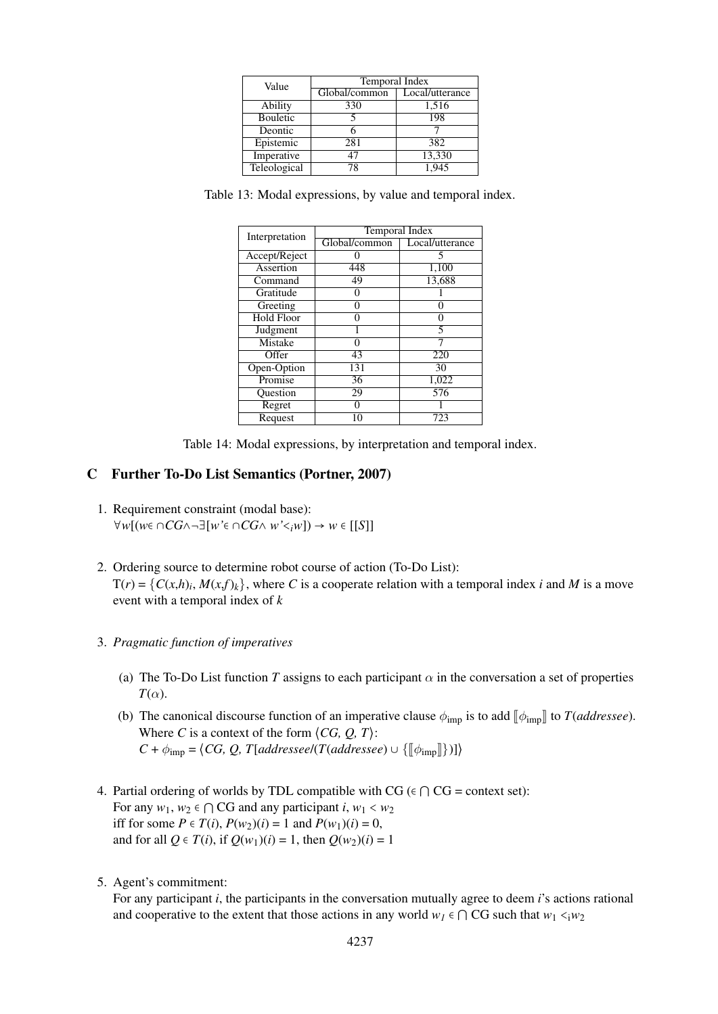| Value        | Temporal Index |                 |  |  |
|--------------|----------------|-----------------|--|--|
|              | Global/common  | Local/utterance |  |  |
| Ability      | 330            | 1,516           |  |  |
| Bouletic     |                | 198             |  |  |
| Deontic      |                |                 |  |  |
| Epistemic    | 281            | 382             |  |  |
| Imperative   | 47             | 13,330          |  |  |
| Teleological | 78             | 1,945           |  |  |

Table 13: Modal expressions, by value and temporal index.

| Interpretation    | <b>Temporal Index</b> |                 |  |  |
|-------------------|-----------------------|-----------------|--|--|
|                   | Global/common         | Local/utterance |  |  |
| Accept/Reject     |                       | 5               |  |  |
| Assertion         | 448                   | 1,100           |  |  |
| Command           | 49                    | 13,688          |  |  |
| Gratitude         |                       |                 |  |  |
| Greeting          |                       |                 |  |  |
| <b>Hold Floor</b> | 0                     |                 |  |  |
| Judgment          |                       |                 |  |  |
| <b>Mistake</b>    |                       |                 |  |  |
| Offer             | 43                    | 220             |  |  |
| Open-Option       | 131                   | 30              |  |  |
| Promise           | 36                    | 1,022           |  |  |
| Question          | 29                    | 576             |  |  |
| Regret            | 0                     |                 |  |  |
| Request           | 10                    | 723             |  |  |

Table 14: Modal expressions, by interpretation and temporal index.

## C Further To-Do List Semantics (Portner, 2007)

- 1. Requirement constraint (modal base): ∀*w*[(*w*∈ ∩*CG*∧¬∃[*w'*∈ ∩*CG*∧ *w'*<*iw*]) → *w* ∈ [[*S*]]
- 2. Ordering source to determine robot course of action (To-Do List):  $T(r) = \{C(x,h)_i, M(x,f)_k\}$ , where *C* is a cooperate relation with a temporal index *i* and *M* is a move event with a temporal index of *k*
- 3. *Pragmatic function of imperatives*
	- (a) The To-Do List function *T* assigns to each participant  $\alpha$  in the conversation a set of properties  $T(\alpha)$ .
	- (b) The canonical discourse function of an imperative clause  $\phi_{\text{imp}}$  is to add  $[\phi_{\text{imp}}]$  to *T*(*addressee*). Where *C* is a context of the form  $\langle CG, Q, T \rangle$ :  $C + \phi_{\text{imp}} = \langle CG, Q, T[addressee/(T(addressee) \cup {\{\llbracket \phi_{\text{imp}} \rrbracket\}})]\rangle$
- 4. Partial ordering of worlds by TDL compatible with CG ( $\epsilon \cap CG = \text{context set}$ ): For any  $w_1, w_2 \in \bigcap \text{CG}$  and any participant *i*,  $w_1 < w_2$ iff for some  $P \in T(i)$ ,  $P(w_2)(i) = 1$  and  $P(w_1)(i) = 0$ , and for all  $Q \in T(i)$ , if  $Q(w_1)(i) = 1$ , then  $Q(w_2)(i) = 1$
- 5. Agent's commitment:

For any participant *i*, the participants in the conversation mutually agree to deem *i*'s actions rational and cooperative to the extent that those actions in any world  $w_1 \in \bigcap \text{CG}$  such that  $w_1 \leq w_2$